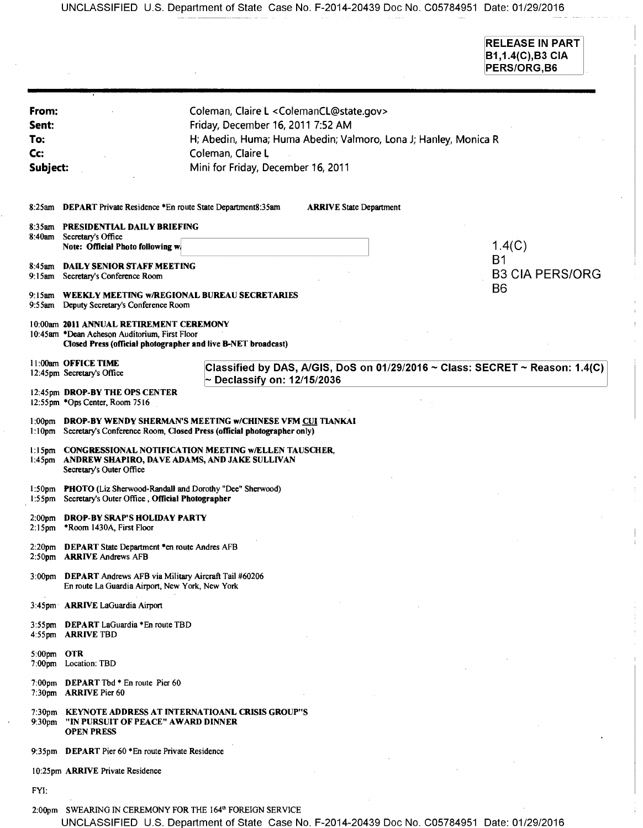UNCLASSIFIED U.S. Department of State Case No. F-2014-20439 Doc No. C05784951 Date: 01/29/2016

RELEASE IN PART B1,1.4(C),B3 CIA PERS/ORG, B6

| From:<br>Sent:<br>To.<br>Cc:<br>Subject: |                                                                                                                                                           | Coleman, Claire L < ColemanCL@state.gov><br>Friday, December 16, 2011 7:52 AM<br>H; Abedin, Huma; Huma Abedin; Valmoro, Lona J; Hanley, Monica R<br>Coleman, Claire L<br>Mini for Friday, December 16, 2011 |                        |
|------------------------------------------|-----------------------------------------------------------------------------------------------------------------------------------------------------------|-------------------------------------------------------------------------------------------------------------------------------------------------------------------------------------------------------------|------------------------|
| 8:25am                                   | DEPART Private Residence *En route State Department8:35am<br><b>ARRIVE State Department</b>                                                               |                                                                                                                                                                                                             |                        |
|                                          | 8:35am PRESIDENTIAL DAILY BRIEFING<br>8:40am Secretary's Office<br>1.4(C)<br>Note: Official Photo following w.<br><b>B1</b>                               |                                                                                                                                                                                                             |                        |
| 8:45 am<br>$9:15$ am                     | DAILY SENIOR STAFF MEETING<br>Secretary's Conference Room                                                                                                 |                                                                                                                                                                                                             | <b>B3 CIA PERS/ORG</b> |
|                                          | B6<br>9:15am WEEKLY MEETING w/REGIONAL BUREAU SECRETARIES<br>9:55am Deputy Secretary's Conference Room                                                    |                                                                                                                                                                                                             |                        |
|                                          | 10:00am 2011 ANNUAL RETIREMENT CEREMONY<br>10:45am *Dean Acheson Auditorium, First Floor<br>Closed Press (official photographer and live B-NET broadcast) |                                                                                                                                                                                                             |                        |
|                                          | 11:00am OFFICE TIME<br>12:45pm Secretary's Office                                                                                                         | Classified by DAS, A/GIS, DoS on $01/29/2016 \sim$ Class: SECRET $\sim$ Reason: 1.4(C)<br>$\sim$ Declassify on: 12/15/2036                                                                                  |                        |
|                                          | 12:45pm DROP-BY THE OPS CENTER<br>12:55pm *Ops Center, Room 7516                                                                                          |                                                                                                                                                                                                             |                        |
| $1:00$ pm                                | DROP-BY WENDY SHERMAN'S MEETING w/CHINESE VFM CUI TIANKAI<br>1:10pm Secretary's Conference Room, Closed Press (official photographer only)                |                                                                                                                                                                                                             |                        |
| $1:45$ pm                                | 1:15pm CONGRESSIONAL NOTIFICATION MEETING w/ELLEN TAUSCHER,<br>ANDREW SHAPIRO, DAVE ADAMS, AND JAKE SULLIVAN<br>Secretary's Outer Office                  |                                                                                                                                                                                                             |                        |
| 1:50 <sub>pm</sub><br>$1:55$ pm          | PHOTO (Liz Sherwood-Randall and Dorothy "Dee" Sherwood)<br>Secretary's Outer Office, Official Photographer                                                |                                                                                                                                                                                                             |                        |
| $2:00$ pm<br>$2:15$ pm                   | <b>DROP-BY SRAP'S HOLIDAY PARTY</b><br>*Room 1430A, First Floor                                                                                           |                                                                                                                                                                                                             |                        |
|                                          | 2.20pm DEPART State Department *en route Andres AFB<br>2:50pm ARRIVE Andrews AFB                                                                          |                                                                                                                                                                                                             |                        |
|                                          | 3:00pm DEPART Andrews AFB via Military Aircraft Tail #60206<br>En route La Guardia Airport, New York, New York                                            |                                                                                                                                                                                                             |                        |
|                                          | 3:45pm ARRIVE LaGuardia Airport                                                                                                                           |                                                                                                                                                                                                             |                        |
|                                          | 3:55pm DEPART LaGuardia *En route TBD<br>4:55pm ARRIVE TBD                                                                                                |                                                                                                                                                                                                             |                        |
| 5:00pm OTR                               | 7:00pm Location: TBD                                                                                                                                      |                                                                                                                                                                                                             |                        |
|                                          | 7:00pm DEPART Tbd * En route Pier 60<br>7:30pm ARRIVE Pier 60                                                                                             |                                                                                                                                                                                                             |                        |
| 9:30 <sub>pm</sub>                       | 7:30pm KEYNOTE ADDRESS AT INTERNATIOANL CRISIS GROUP"S<br>"IN PURSUIT OF PEACE" AWARD DINNER<br><b>OPEN PRESS</b>                                         |                                                                                                                                                                                                             |                        |
|                                          | 9:35pm DEPART Pier 60 *En route Private Residence                                                                                                         |                                                                                                                                                                                                             |                        |
|                                          | 10:25pm ARRIVE Private Residence                                                                                                                          |                                                                                                                                                                                                             |                        |
| FYI:                                     |                                                                                                                                                           |                                                                                                                                                                                                             |                        |

2:00pm SWEARING IN CEREMONY FOR THE 164<sup>th</sup> FOREIGN SERVICE

UNCLASSIFIED U.S. Department of State Case No. F-2014-20439 Doc No. C05784951 Date: 01/29/2016